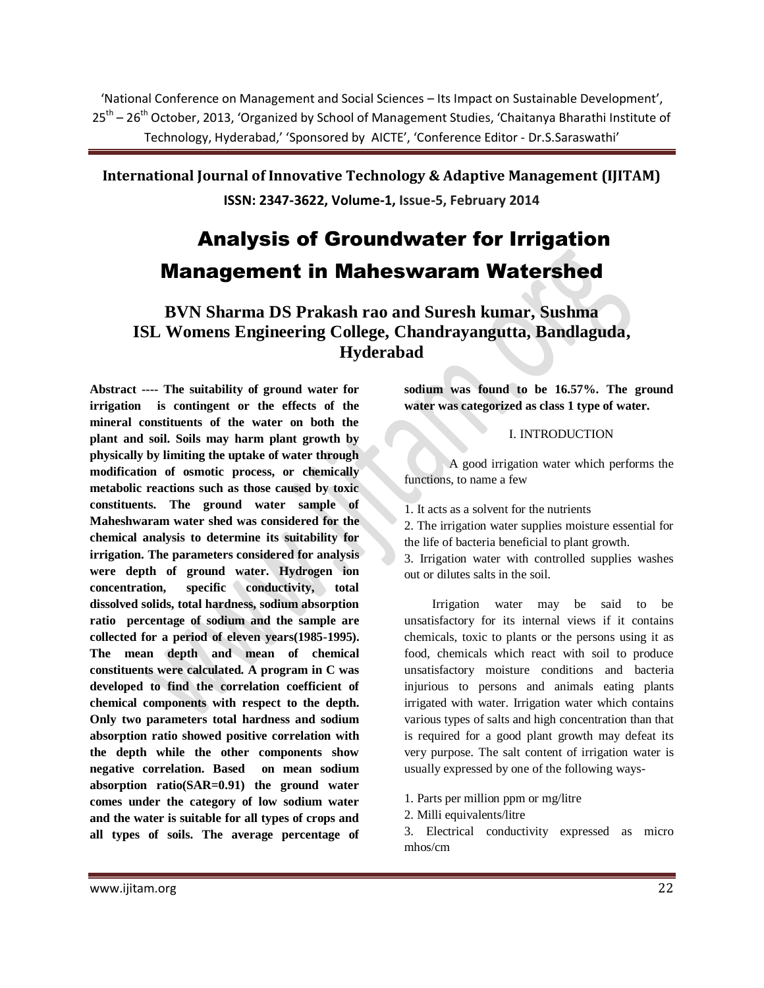'National Conference on Management and Social Sciences – Its Impact on Sustainable Development', 25<sup>th</sup> – 26<sup>th</sup> October, 2013, 'Organized by School of Management Studies, 'Chaitanya Bharathi Institute of Technology, Hyderabad,' 'Sponsored by AICTE', 'Conference Editor - Dr.S.Saraswathi'

**International Journal of Innovative Technology & Adaptive Management (IJITAM) ISSN: 2347-3622, Volume-1, Issue-5, February 2014**

# Analysis of Groundwater for Irrigation Management in Maheswaram Watershed

**BVN Sharma DS Prakash rao and Suresh kumar, Sushma ISL Womens Engineering College, Chandrayangutta, Bandlaguda, Hyderabad**

**Abstract ---- The suitability of ground water for irrigation is contingent or the effects of the mineral constituents of the water on both the plant and soil. Soils may harm plant growth by physically by limiting the uptake of water through modification of osmotic process, or chemically metabolic reactions such as those caused by toxic constituents. The ground water sample of Maheshwaram water shed was considered for the chemical analysis to determine its suitability for irrigation. The parameters considered for analysis were depth of ground water. Hydrogen ion concentration, specific conductivity, total dissolved solids, total hardness, sodium absorption ratio percentage of sodium and the sample are collected for a period of eleven years(1985-1995). The mean depth and mean of chemical constituents were calculated. A program in C was developed to find the correlation coefficient of chemical components with respect to the depth. Only two parameters total hardness and sodium absorption ratio showed positive correlation with the depth while the other components show negative correlation. Based on mean sodium absorption ratio(SAR=0.91) the ground water comes under the category of low sodium water and the water is suitable for all types of crops and all types of soils. The average percentage of** 

**sodium was found to be 16.57%. The ground water was categorized as class 1 type of water.**

### I. INTRODUCTION

A good irrigation water which performs the functions, to name a few

1. It acts as a solvent for the nutrients

2. The irrigation water supplies moisture essential for the life of bacteria beneficial to plant growth.

3. Irrigation water with controlled supplies washes out or dilutes salts in the soil.

 Irrigation water may be said to be unsatisfactory for its internal views if it contains chemicals, toxic to plants or the persons using it as food, chemicals which react with soil to produce unsatisfactory moisture conditions and bacteria injurious to persons and animals eating plants irrigated with water. Irrigation water which contains various types of salts and high concentration than that is required for a good plant growth may defeat its very purpose. The salt content of irrigation water is usually expressed by one of the following ways-

- 1. Parts per million ppm or mg/litre
- 2. Milli equivalents/litre

3. Electrical conductivity expressed as micro mhos/cm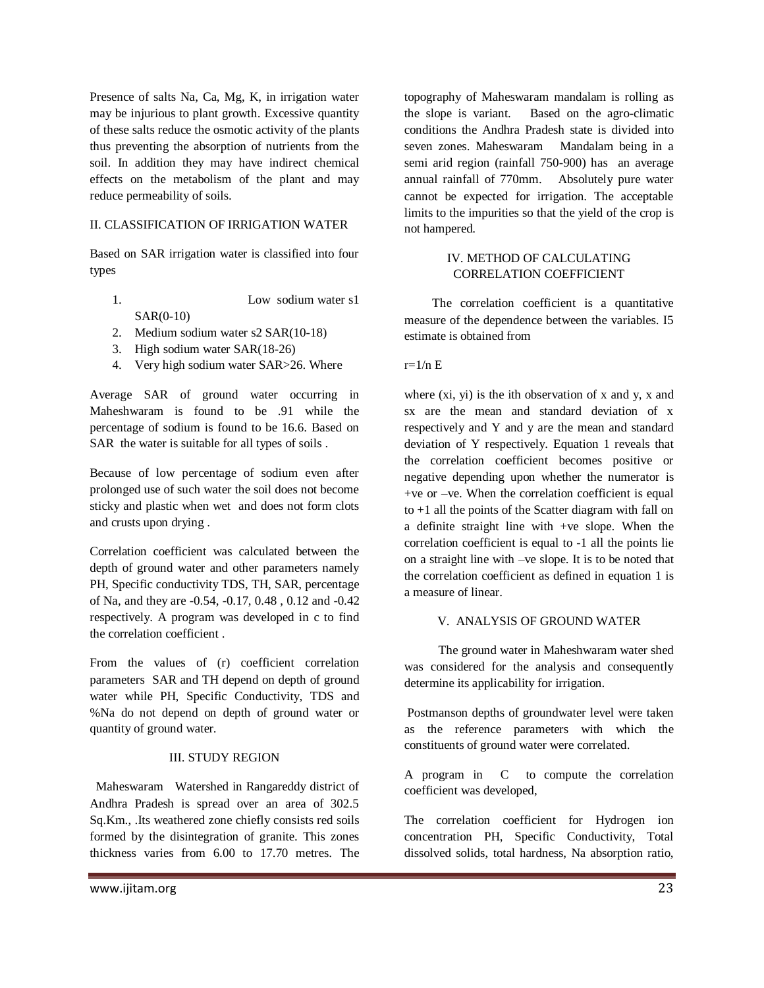Presence of salts Na, Ca, Mg, K, in irrigation water may be injurious to plant growth. Excessive quantity of these salts reduce the osmotic activity of the plants thus preventing the absorption of nutrients from the soil. In addition they may have indirect chemical effects on the metabolism of the plant and may reduce permeability of soils.

### II. CLASSIFICATION OF IRRIGATION WATER

Based on SAR irrigation water is classified into four types

- 1. Low sodium water s1 SAR(0-10)
- 2. Medium sodium water s2 SAR(10-18)
- 3. High sodium water SAR(18-26)
- 4. Very high sodium water SAR>26. Where

Average SAR of ground water occurring in Maheshwaram is found to be .91 while the percentage of sodium is found to be 16.6. Based on SAR the water is suitable for all types of soils .

Because of low percentage of sodium even after prolonged use of such water the soil does not become sticky and plastic when wet and does not form clots and crusts upon drying .

Correlation coefficient was calculated between the depth of ground water and other parameters namely PH, Specific conductivity TDS, TH, SAR, percentage of Na, and they are -0.54, -0.17, 0.48 , 0.12 and -0.42 respectively. A program was developed in c to find the correlation coefficient .

From the values of (r) coefficient correlation parameters SAR and TH depend on depth of ground water while PH, Specific Conductivity, TDS and %Na do not depend on depth of ground water or quantity of ground water.

## III. STUDY REGION

Maheswaram Watershed in Rangareddy district of Andhra Pradesh is spread over an area of 302.5 Sq.Km., .Its weathered zone chiefly consists red soils formed by the disintegration of granite. This zones thickness varies from 6.00 to 17.70 metres. The topography of Maheswaram mandalam is rolling as the slope is variant. Based on the agro-climatic conditions the Andhra Pradesh state is divided into seven zones. Maheswaram Mandalam being in a semi arid region (rainfall 750-900) has an average annual rainfall of 770mm. Absolutely pure water cannot be expected for irrigation. The acceptable limits to the impurities so that the yield of the crop is not hampered.

## IV. METHOD OF CALCULATING CORRELATION COEFFICIENT

 The correlation coefficient is a quantitative measure of the dependence between the variables. I5 estimate is obtained from

### $r=1/n E$

where  $(x_i, y_i)$  is the ith observation of x and y, x and sx are the mean and standard deviation of x respectively and Y and y are the mean and standard deviation of Y respectively. Equation 1 reveals that the correlation coefficient becomes positive or negative depending upon whether the numerator is +ve or –ve. When the correlation coefficient is equal to +1 all the points of the Scatter diagram with fall on a definite straight line with +ve slope. When the correlation coefficient is equal to -1 all the points lie on a straight line with –ve slope. It is to be noted that the correlation coefficient as defined in equation 1 is a measure of linear.

## V. ANALYSIS OF GROUND WATER

 The ground water in Maheshwaram water shed was considered for the analysis and consequently determine its applicability for irrigation.

Postmanson depths of groundwater level were taken as the reference parameters with which the constituents of ground water were correlated.

A program in C to compute the correlation coefficient was developed,

The correlation coefficient for Hydrogen ion concentration PH, Specific Conductivity, Total dissolved solids, total hardness, Na absorption ratio,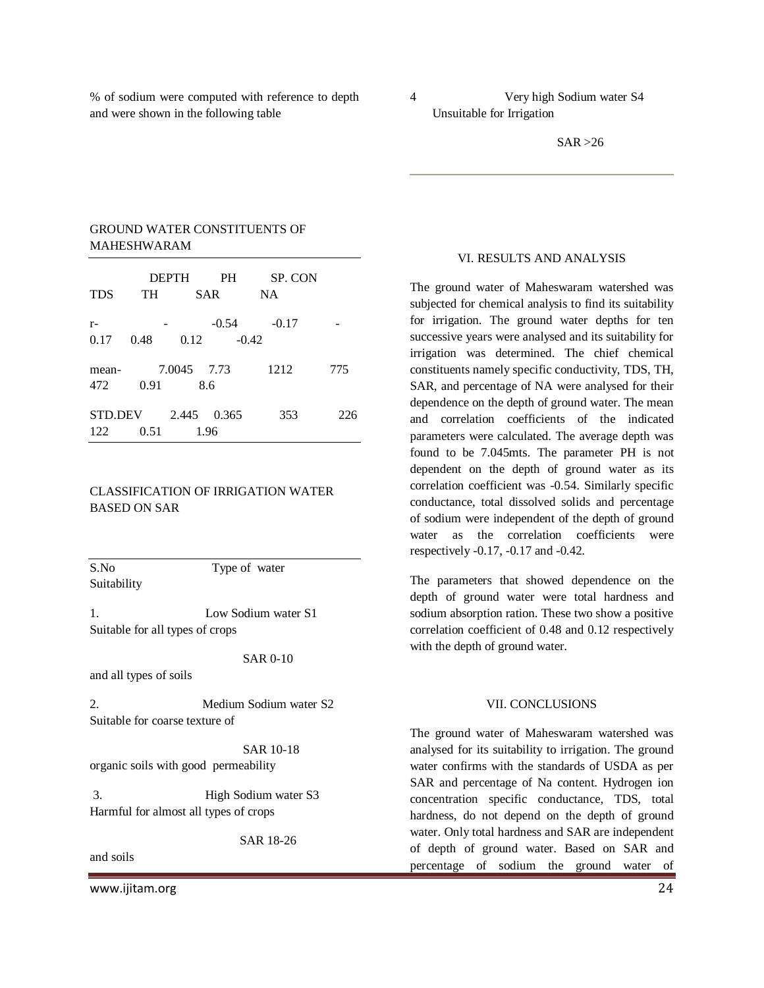% of sodium were computed with reference to depth and were shown in the following table

4 Very high Sodium water S4 Unsuitable for Irrigation

## GROUND WATER CONSTITUENTS OF MAHESHWARAM

| <b>TDS</b>            | <b>DEPTH</b><br>TH | <b>PH</b><br><b>SAR</b> | SP. CON<br><b>NA</b> |     |
|-----------------------|--------------------|-------------------------|----------------------|-----|
| $r-$<br>0.17          | 0.48               | $-0.54$<br>0.12         | $-0.17$<br>$-0.42$   |     |
| mean-<br>472          | 0.91               | 7.0045 7.73<br>8.6      | 1212                 | 775 |
| <b>STD.DEV</b><br>122 | 0.51               | 2.445<br>0.365<br>1.96  | 353                  | 226 |

## CLASSIFICATION OF IRRIGATION WATER BASED ON SAR

S.No Type of water Suitability

1. Low Sodium water S1 Suitable for all types of crops

SAR 0-10

and all types of soils

2. Medium Sodium water S2 Suitable for coarse texture of

 SAR 10-18 organic soils with good permeability

3. High Sodium water S3 Harmful for almost all types of crops

SAR 18-26

and soils

www.ijitam.org 24

#### VI. RESULTS AND ANALYSIS

The ground water of Maheswaram watershed was subjected for chemical analysis to find its suitability for irrigation. The ground water depths for ten successive years were analysed and its suitability for irrigation was determined. The chief chemical constituents namely specific conductivity, TDS, TH, SAR, and percentage of NA were analysed for their dependence on the depth of ground water. The mean and correlation coefficients of the indicated parameters were calculated. The average depth was found to be 7.045mts. The parameter PH is not dependent on the depth of ground water as its correlation coefficient was -0.54. Similarly specific conductance, total dissolved solids and percentage of sodium were independent of the depth of ground water as the correlation coefficients were respectively -0.17, -0.17 and -0.42.

The parameters that showed dependence on the depth of ground water were total hardness and sodium absorption ration. These two show a positive correlation coefficient of 0.48 and 0.12 respectively with the depth of ground water.

#### VII. CONCLUSIONS

The ground water of Maheswaram watershed was analysed for its suitability to irrigation. The ground water confirms with the standards of USDA as per SAR and percentage of Na content. Hydrogen ion concentration specific conductance, TDS, total hardness, do not depend on the depth of ground water. Only total hardness and SAR are independent of depth of ground water. Based on SAR and percentage of sodium the ground water of